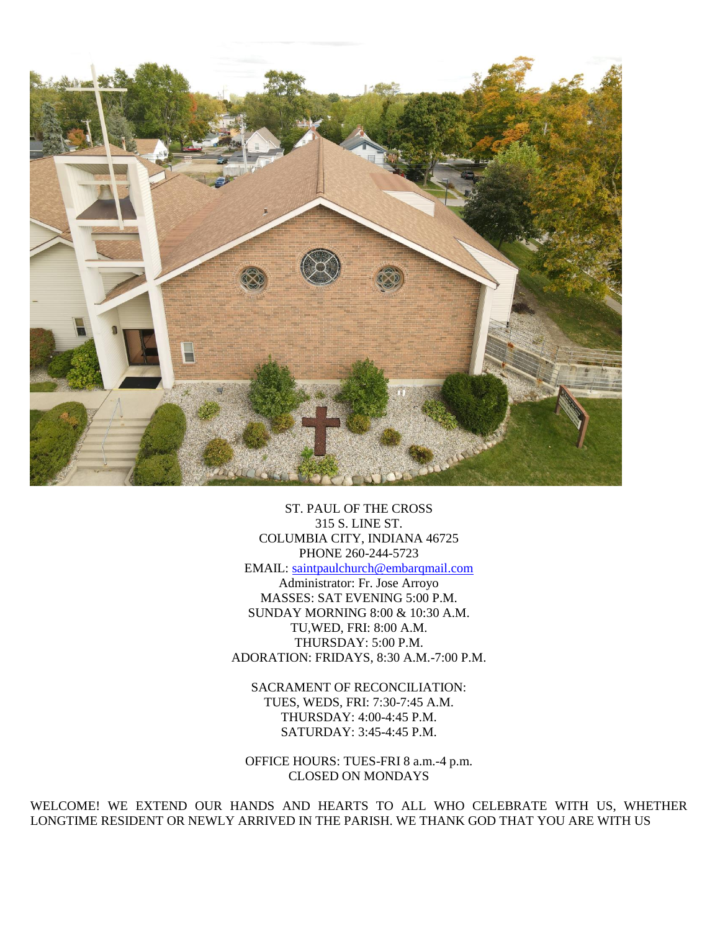

ST. PAUL OF THE CROSS 315 S. LINE ST. COLUMBIA CITY, INDIANA 46725 PHONE 260-244-5723 EMAIL: [saintpaulchurch@embarqmail.com](mailto:saintpaulchurch@embarqmail.com) Administrator: Fr. Jose Arroyo MASSES: SAT EVENING 5:00 P.M. SUNDAY MORNING 8:00 & 10:30 A.M. TU,WED, FRI: 8:00 A.M. THURSDAY: 5:00 P.M. ADORATION: FRIDAYS, 8:30 A.M.-7:00 P.M.

SACRAMENT OF RECONCILIATION: TUES, WEDS, FRI: 7:30-7:45 A.M. THURSDAY: 4:00-4:45 P.M. SATURDAY: 3:45-4:45 P.M.

OFFICE HOURS: TUES-FRI 8 a.m.-4 p.m. CLOSED ON MONDAYS

WELCOME! WE EXTEND OUR HANDS AND HEARTS TO ALL WHO CELEBRATE WITH US, WHETHER LONGTIME RESIDENT OR NEWLY ARRIVED IN THE PARISH. WE THANK GOD THAT YOU ARE WITH US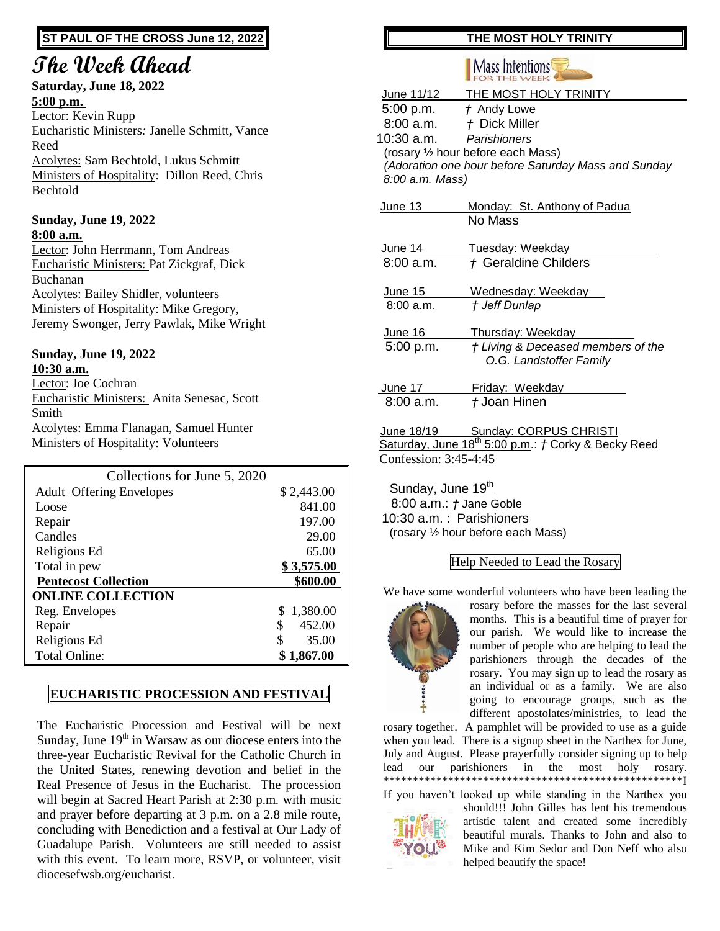# **ST PAUL OF THE CROSS June 12, 2022**

# **The Week Ahead**

### **Saturday, June 18, 2022 5:00 p.m.**

Lector: Kevin Rupp Eucharistic Ministers*:* Janelle Schmitt, Vance Reed Acolytes: Sam Bechtold, Lukus Schmitt Ministers of Hospitality: Dillon Reed, Chris Bechtold

### **Sunday, June 19, 2022 8:00 a.m.**

Lector: John Herrmann, Tom Andreas Eucharistic Ministers: Pat Zickgraf, Dick Buchanan Acolytes: Bailey Shidler, volunteers Ministers of Hospitality: Mike Gregory, Jeremy Swonger, Jerry Pawlak, Mike Wright

### **Sunday, June 19, 2022 10:30 a.m.**

Lector: Joe Cochran Eucharistic Ministers: Anita Senesac, Scott Smith Acolytes: Emma Flanagan, Samuel Hunter Ministers of Hospitality: Volunteers

| Collections for June 5, 2020    |              |
|---------------------------------|--------------|
| <b>Adult Offering Envelopes</b> | \$2,443.00   |
| Loose                           | 841.00       |
| Repair                          | 197.00       |
| Candles                         | 29.00        |
| Religious Ed                    | 65.00        |
| Total in pew                    | \$3,575.00   |
| <b>Pentecost Collection</b>     | \$600.00     |
| <b>ONLINE COLLECTION</b>        |              |
| Reg. Envelopes                  | 1,380.00     |
| Repair                          | \$<br>452.00 |
| Religious Ed                    | \$<br>35.00  |
| <b>Total Online:</b>            | \$1,867.00   |

# **EUCHARISTIC PROCESSION AND FESTIVAL**

The Eucharistic Procession and Festival will be next Sunday, June  $19<sup>th</sup>$  in Warsaw as our diocese enters into the three-year Eucharistic Revival for the Catholic Church in the United States, renewing devotion and belief in the Real Presence of Jesus in the Eucharist. The procession will begin at Sacred Heart Parish at 2:30 p.m. with music and prayer before departing at 3 p.m. on a 2.8 mile route, concluding with Benediction and a festival at Our Lady of Guadalupe Parish. Volunteers are still needed to assist with this event. To learn more, RSVP, or volunteer, visit diocesefwsb.org/eucharist.

# **THE MOST HOLY TRINITY**

# **Mass Intentions**

|                       | June 11/12 THE MOST HOLY TRINITY                                       |  |
|-----------------------|------------------------------------------------------------------------|--|
| 5:00 p.m.             | t Andy Lowe                                                            |  |
|                       | 8:00 a.m. $t$ Dick Miller                                              |  |
| 10:30 a.m.            | Parishioners                                                           |  |
|                       | (rosary 1/2 hour before each Mass)                                     |  |
|                       | (Adoration one hour before Saturday Mass and Sunday                    |  |
| 8:00 a.m. Mass)       |                                                                        |  |
| <b>June 13</b>        | Monday: St. Anthony of Padua                                           |  |
|                       | No Mass                                                                |  |
|                       |                                                                        |  |
| <u>June 14</u>        | Tuesday: Weekday                                                       |  |
| 8:00a.m.              | + Geraldine Childers                                                   |  |
|                       |                                                                        |  |
| <u>June 15</u>        | Wednesday: Weekday                                                     |  |
| 8:00 a.m.             | † Jeff Dunlap                                                          |  |
| June 16               | <b>Thursday: Weekday</b>                                               |  |
| 5:00 p.m.             | † Living & Deceased members of the                                     |  |
|                       | O.G. Landstoffer Family                                                |  |
|                       |                                                                        |  |
| June 17               | Friday: Weekday                                                        |  |
| 8:00a.m.              | t Joan Hinen                                                           |  |
| June 18/19            | <b>Sunday: CORPUS CHRISTI</b>                                          |  |
|                       | Saturday, June 18 <sup>th</sup> 5:00 p.m.: <i>†</i> Corky & Becky Reed |  |
| Confession: 3:45-4:45 |                                                                        |  |
|                       |                                                                        |  |

Sunday, June 19<sup>th</sup> 8:00 a.m.: *†* Jane Goble 10:30 a.m. : Parishioners (rosary ½ hour before each Mass)

## Help Needed to Lead the Rosary

We have some wonderful volunteers who have been leading the



rosary before the masses for the last several months. This is a beautiful time of prayer for our parish. We would like to increase the number of people who are helping to lead the parishioners through the decades of the rosary. You may sign up to lead the rosary as an individual or as a family. We are also going to encourage groups, such as the different apostolates/ministries, to lead the

rosary together. A pamphlet will be provided to use as a guide when you lead. There is a signup sheet in the Narthex for June, July and August. Please prayerfully consider signing up to help lead our parishioners in the most holy rosary. \*\*\*\*\*\*\*\*\*\*\*\*\*\*\*\*\*\*\*\*\*\*\*\*\*\*\*\*\*\*\*\*\*\*\*\*\*\*\*\*\*\*\*\*\*\*\*\*\*\*\*I

If you haven't looked up while standing in the Narthex you



should!!! John Gilles has lent his tremendous artistic talent and created some incredibly beautiful murals. Thanks to John and also to Mike and Kim Sedor and Don Neff who also helped beautify the space!